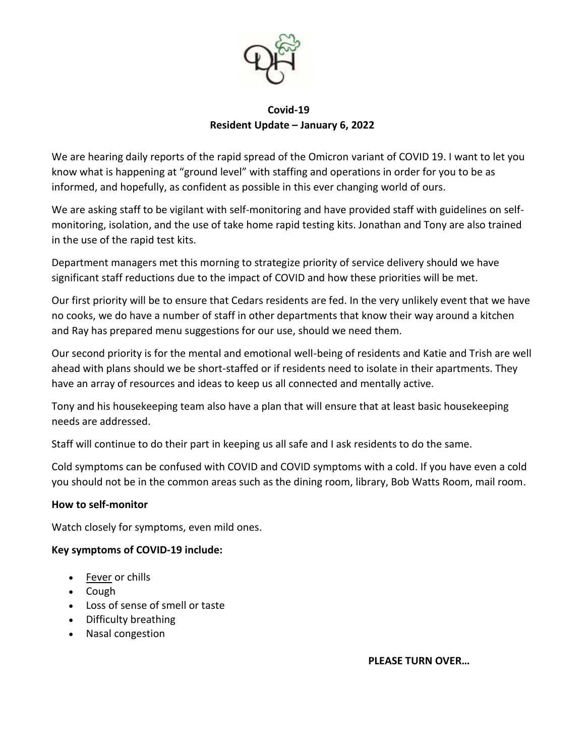

## **Covid-19 Resident Update – January 6, 2022**

We are hearing daily reports of the rapid spread of the Omicron variant of COVID 19. I want to let you know what is happening at "ground level" with staffing and operations in order for you to be as informed, and hopefully, as confident as possible in this ever changing world of ours.

We are asking staff to be vigilant with self-monitoring and have provided staff with guidelines on selfmonitoring, isolation, and the use of take home rapid testing kits. Jonathan and Tony are also trained in the use of the rapid test kits.

Department managers met this morning to strategize priority of service delivery should we have significant staff reductions due to the impact of COVID and how these priorities will be met.

Our first priority will be to ensure that Cedars residents are fed. In the very unlikely event that we have no cooks, we do have a number of staff in other departments that know their way around a kitchen and Ray has prepared menu suggestions for our use, should we need them.

Our second priority is for the mental and emotional well-being of residents and Katie and Trish are well ahead with plans should we be short-staffed or if residents need to isolate in their apartments. They have an array of resources and ideas to keep us all connected and mentally active.

Tony and his housekeeping team also have a plan that will ensure that at least basic housekeeping needs are addressed.

Staff will continue to do their part in keeping us all safe and I ask residents to do the same.

Cold symptoms can be confused with COVID and COVID symptoms with a cold. If you have even a cold you should not be in the common areas such as the dining room, library, Bob Watts Room, mail room.

## **How to self-monitor**

Watch closely for symptoms, even mild ones.

## **Key symptoms of COVID-19 include:**

- [Fever](https://www.healthlinkbc.ca/illnesses-conditions/infectious-diseases/fever-or-chills-age-12-and-older) or chills
- Cough
- Loss of sense of smell or taste
- Difficulty breathing
- Nasal congestion

 **PLEASE TURN OVER…**